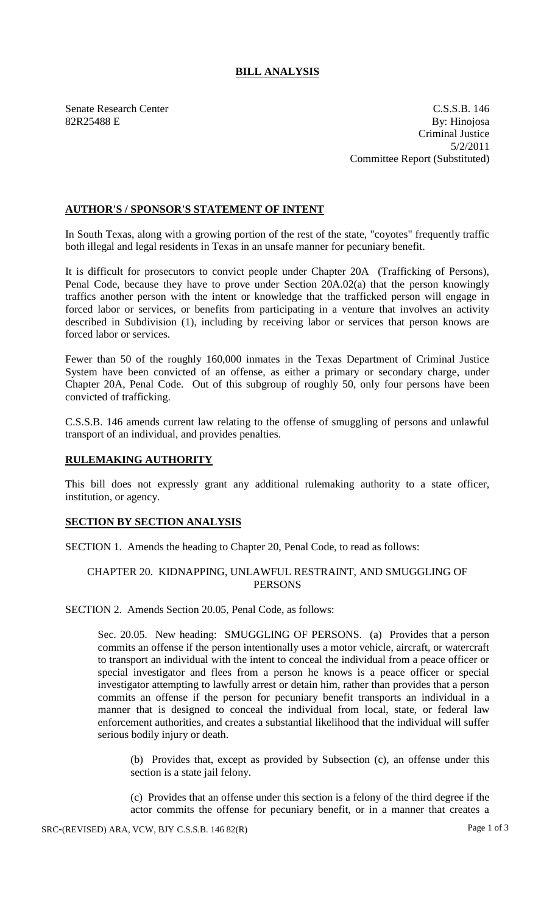# **BILL ANALYSIS**

Senate Research Center C.S.S.B. 146 82R25488 E By: Hinojosa Criminal Justice 5/2/2011 Committee Report (Substituted)

## **AUTHOR'S / SPONSOR'S STATEMENT OF INTENT**

In South Texas, along with a growing portion of the rest of the state, "coyotes" frequently traffic both illegal and legal residents in Texas in an unsafe manner for pecuniary benefit.

It is difficult for prosecutors to convict people under Chapter 20A (Trafficking of Persons), Penal Code, because they have to prove under Section 20A.02(a) that the person knowingly traffics another person with the intent or knowledge that the trafficked person will engage in forced labor or services, or benefits from participating in a venture that involves an activity described in Subdivision (1), including by receiving labor or services that person knows are forced labor or services.

Fewer than 50 of the roughly 160,000 inmates in the Texas Department of Criminal Justice System have been convicted of an offense, as either a primary or secondary charge, under Chapter 20A, Penal Code. Out of this subgroup of roughly 50, only four persons have been convicted of trafficking.

C.S.S.B. 146 amends current law relating to the offense of smuggling of persons and unlawful transport of an individual, and provides penalties.

## **RULEMAKING AUTHORITY**

This bill does not expressly grant any additional rulemaking authority to a state officer, institution, or agency.

## **SECTION BY SECTION ANALYSIS**

SECTION 1. Amends the heading to Chapter 20, Penal Code, to read as follows:

# CHAPTER 20. KIDNAPPING, UNLAWFUL RESTRAINT, AND SMUGGLING OF **PERSONS**

SECTION 2. Amends Section 20.05, Penal Code, as follows:

Sec. 20.05. New heading: SMUGGLING OF PERSONS. (a) Provides that a person commits an offense if the person intentionally uses a motor vehicle, aircraft, or watercraft to transport an individual with the intent to conceal the individual from a peace officer or special investigator and flees from a person he knows is a peace officer or special investigator attempting to lawfully arrest or detain him, rather than provides that a person commits an offense if the person for pecuniary benefit transports an individual in a manner that is designed to conceal the individual from local, state, or federal law enforcement authorities, and creates a substantial likelihood that the individual will suffer serious bodily injury or death.

(b) Provides that, except as provided by Subsection (c), an offense under this section is a state jail felony.

(c) Provides that an offense under this section is a felony of the third degree if the actor commits the offense for pecuniary benefit, or in a manner that creates a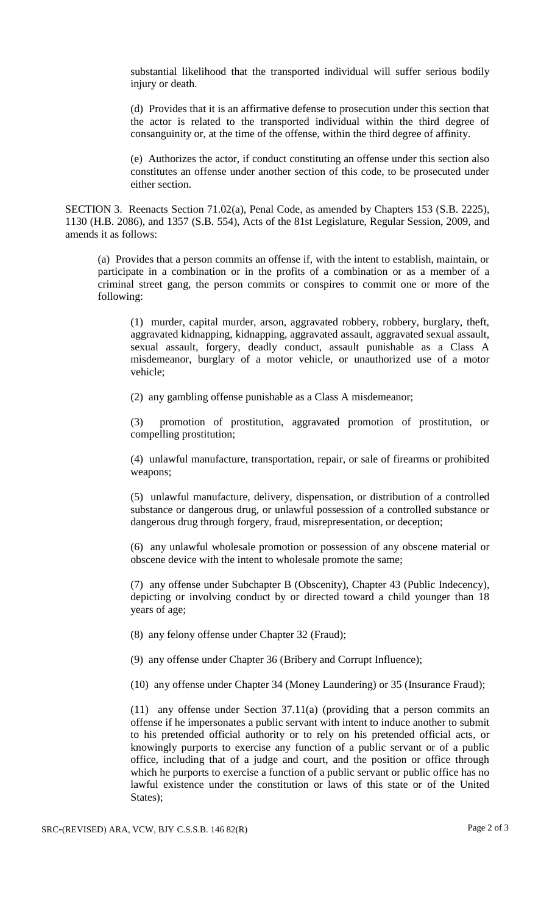substantial likelihood that the transported individual will suffer serious bodily injury or death.

(d) Provides that it is an affirmative defense to prosecution under this section that the actor is related to the transported individual within the third degree of consanguinity or, at the time of the offense, within the third degree of affinity.

(e) Authorizes the actor, if conduct constituting an offense under this section also constitutes an offense under another section of this code, to be prosecuted under either section.

SECTION 3. Reenacts Section 71.02(a), Penal Code, as amended by Chapters 153 (S.B. 2225), 1130 (H.B. 2086), and 1357 (S.B. 554), Acts of the 81st Legislature, Regular Session, 2009, and amends it as follows:

(a) Provides that a person commits an offense if, with the intent to establish, maintain, or participate in a combination or in the profits of a combination or as a member of a criminal street gang, the person commits or conspires to commit one or more of the following:

(1) murder, capital murder, arson, aggravated robbery, robbery, burglary, theft, aggravated kidnapping, kidnapping, aggravated assault, aggravated sexual assault, sexual assault, forgery, deadly conduct, assault punishable as a Class A misdemeanor, burglary of a motor vehicle, or unauthorized use of a motor vehicle;

(2) any gambling offense punishable as a Class A misdemeanor;

(3) promotion of prostitution, aggravated promotion of prostitution, or compelling prostitution;

(4) unlawful manufacture, transportation, repair, or sale of firearms or prohibited weapons;

(5) unlawful manufacture, delivery, dispensation, or distribution of a controlled substance or dangerous drug, or unlawful possession of a controlled substance or dangerous drug through forgery, fraud, misrepresentation, or deception;

(6) any unlawful wholesale promotion or possession of any obscene material or obscene device with the intent to wholesale promote the same;

(7) any offense under Subchapter B (Obscenity), Chapter 43 (Public Indecency), depicting or involving conduct by or directed toward a child younger than 18 years of age;

(8) any felony offense under Chapter 32 (Fraud);

(9) any offense under Chapter 36 (Bribery and Corrupt Influence);

(10) any offense under Chapter 34 (Money Laundering) or 35 (Insurance Fraud);

(11) any offense under Section 37.11(a) (providing that a person commits an offense if he impersonates a public servant with intent to induce another to submit to his pretended official authority or to rely on his pretended official acts, or knowingly purports to exercise any function of a public servant or of a public office, including that of a judge and court, and the position or office through which he purports to exercise a function of a public servant or public office has no lawful existence under the constitution or laws of this state or of the United States);